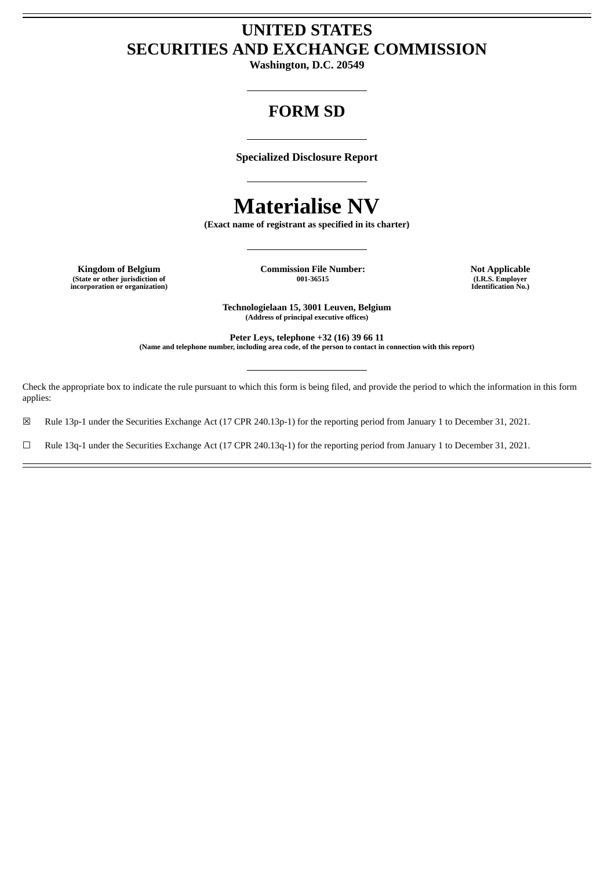# **UNITED STATES SECURITIES AND EXCHANGE COMMISSION**

**Washington, D.C. 20549**

# **FORM SD**

**Specialized Disclosure Report**

# **Materialise NV**

**(Exact name of registrant as specified in its charter)**

**(State or other jurisdiction of incorporation or organization)**

**Kingdom of Belgium Commission File Number: Not Applicable**

**001-36515 (I.R.S. Employer Identification No.)**

**Technologielaan 15, 3001 Leuven, Belgium (Address of principal executive offices)**

**Peter Leys, telephone +32 (16) 39 66 11 (Name and telephone number, including area code, of the person to contact in connection with this report)**

Check the appropriate box to indicate the rule pursuant to which this form is being filed, and provide the period to which the information in this form applies:

☒ Rule 13p-1 under the Securities Exchange Act (17 CPR 240.13p-1) for the reporting period from January 1 to December 31, 2021.

☐ Rule 13q-1 under the Securities Exchange Act (17 CPR 240.13q-1) for the reporting period from January 1 to December 31, 2021.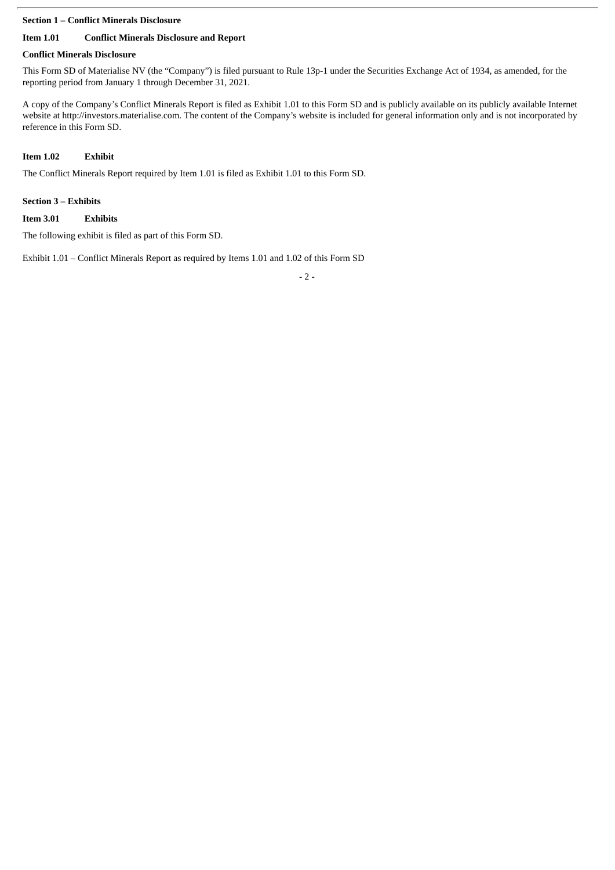#### **Section 1 – Conflict Minerals Disclosure**

# **Item 1.01 Conflict Minerals Disclosure and Report**

## **Conflict Minerals Disclosure**

This Form SD of Materialise NV (the "Company") is filed pursuant to Rule 13p-1 under the Securities Exchange Act of 1934, as amended, for the reporting period from January 1 through December 31, 2021.

A copy of the Company's Conflict Minerals Report is filed as Exhibit 1.01 to this Form SD and is publicly available on its publicly available Internet website at http://investors.materialise.com. The content of the Company's website is included for general information only and is not incorporated by reference in this Form SD.

# **Item 1.02 Exhibit**

The Conflict Minerals Report required by Item 1.01 is filed as Exhibit 1.01 to this Form SD.

## **Section 3 – Exhibits**

## **Item 3.01 Exhibits**

The following exhibit is filed as part of this Form SD.

Exhibit 1.01 – Conflict Minerals Report as required by Items 1.01 and 1.02 of this Form SD

- 2 -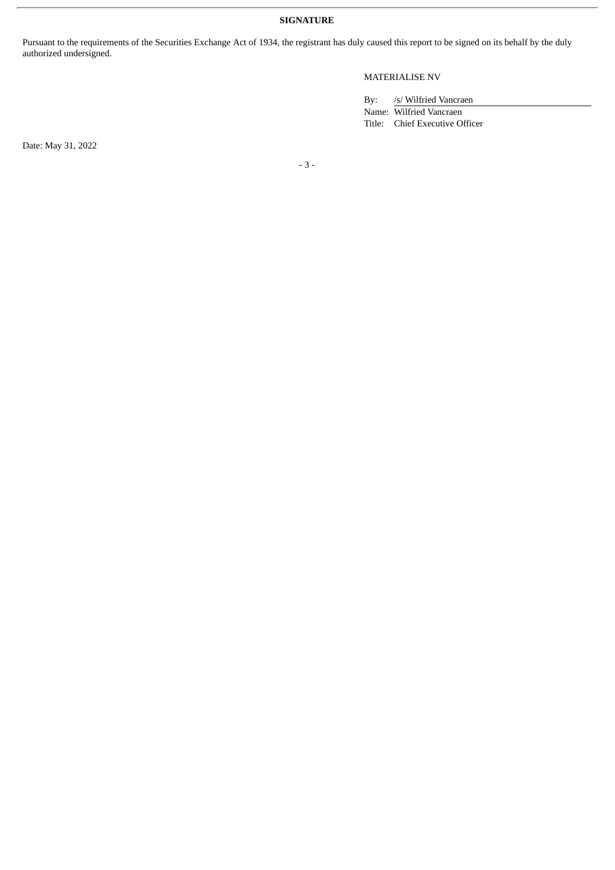**SIGNATURE**

Pursuant to the requirements of the Securities Exchange Act of 1934, the registrant has duly caused this report to be signed on its behalf by the duly authorized undersigned.

# MATERIALISE NV

By: /s/ Wilfried Vancraen

Name: Wilfried Vancraen Title: Chief Executive Officer

Date: May 31, 2022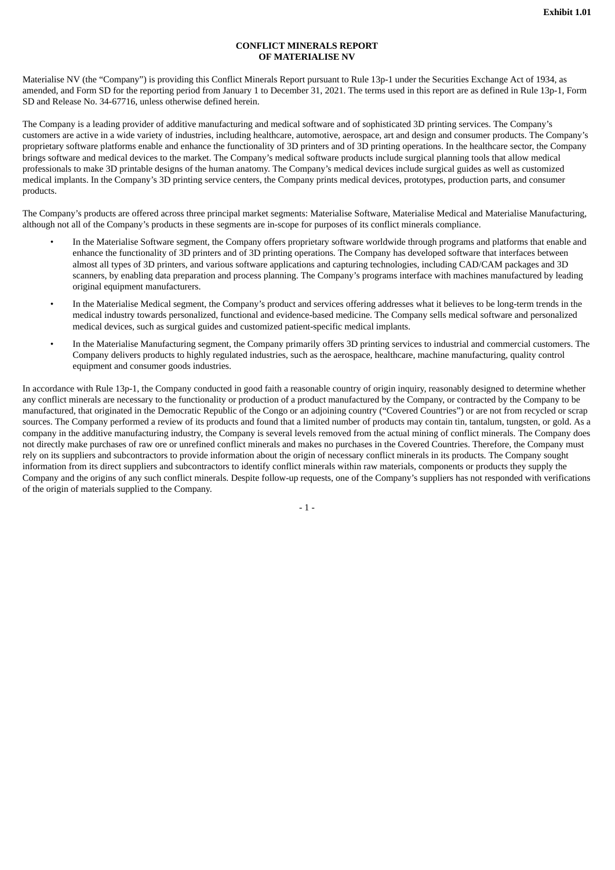#### **CONFLICT MINERALS REPORT OF MATERIALISE NV**

Materialise NV (the "Company") is providing this Conflict Minerals Report pursuant to Rule 13p-1 under the Securities Exchange Act of 1934, as amended, and Form SD for the reporting period from January 1 to December 31, 2021. The terms used in this report are as defined in Rule 13p-1, Form SD and Release No. 34-67716, unless otherwise defined herein.

The Company is a leading provider of additive manufacturing and medical software and of sophisticated 3D printing services. The Company's customers are active in a wide variety of industries, including healthcare, automotive, aerospace, art and design and consumer products. The Company's proprietary software platforms enable and enhance the functionality of 3D printers and of 3D printing operations. In the healthcare sector, the Company brings software and medical devices to the market. The Company's medical software products include surgical planning tools that allow medical professionals to make 3D printable designs of the human anatomy. The Company's medical devices include surgical guides as well as customized medical implants. In the Company's 3D printing service centers, the Company prints medical devices, prototypes, production parts, and consumer products.

The Company's products are offered across three principal market segments: Materialise Software, Materialise Medical and Materialise Manufacturing, although not all of the Company's products in these segments are in-scope for purposes of its conflict minerals compliance.

- In the Materialise Software segment, the Company offers proprietary software worldwide through programs and platforms that enable and enhance the functionality of 3D printers and of 3D printing operations. The Company has developed software that interfaces between almost all types of 3D printers, and various software applications and capturing technologies, including CAD/CAM packages and 3D scanners, by enabling data preparation and process planning. The Company's programs interface with machines manufactured by leading original equipment manufacturers.
- In the Materialise Medical segment, the Company's product and services offering addresses what it believes to be long-term trends in the medical industry towards personalized, functional and evidence-based medicine. The Company sells medical software and personalized medical devices, such as surgical guides and customized patient-specific medical implants.
- In the Materialise Manufacturing segment, the Company primarily offers 3D printing services to industrial and commercial customers. The Company delivers products to highly regulated industries, such as the aerospace, healthcare, machine manufacturing, quality control equipment and consumer goods industries.

In accordance with Rule 13p-1, the Company conducted in good faith a reasonable country of origin inquiry, reasonably designed to determine whether any conflict minerals are necessary to the functionality or production of a product manufactured by the Company, or contracted by the Company to be manufactured, that originated in the Democratic Republic of the Congo or an adjoining country ("Covered Countries") or are not from recycled or scrap sources. The Company performed a review of its products and found that a limited number of products may contain tin, tantalum, tungsten, or gold. As a company in the additive manufacturing industry, the Company is several levels removed from the actual mining of conflict minerals. The Company does not directly make purchases of raw ore or unrefined conflict minerals and makes no purchases in the Covered Countries. Therefore, the Company must rely on its suppliers and subcontractors to provide information about the origin of necessary conflict minerals in its products. The Company sought information from its direct suppliers and subcontractors to identify conflict minerals within raw materials, components or products they supply the Company and the origins of any such conflict minerals. Despite follow-up requests, one of the Company's suppliers has not responded with verifications of the origin of materials supplied to the Company.

- 1 -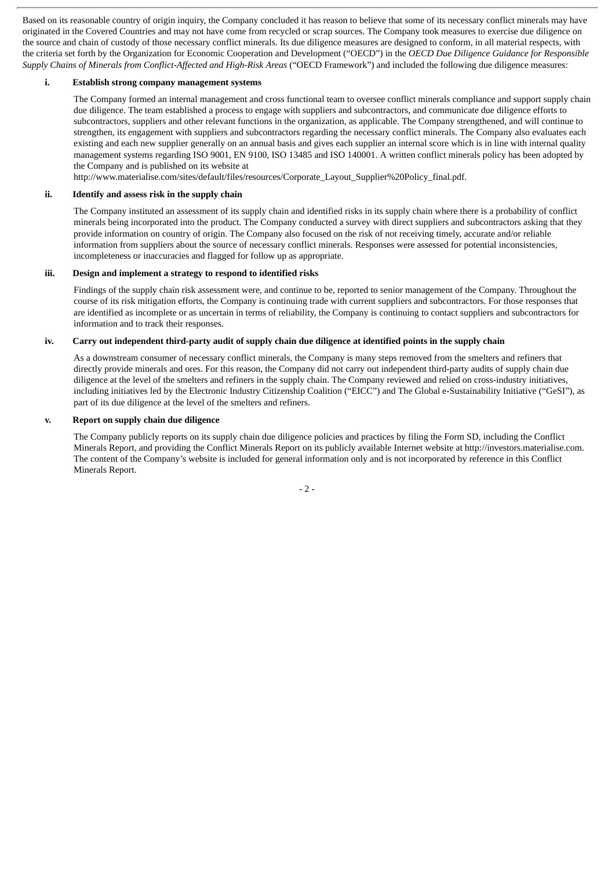Based on its reasonable country of origin inquiry, the Company concluded it has reason to believe that some of its necessary conflict minerals may have originated in the Covered Countries and may not have come from recycled or scrap sources. The Company took measures to exercise due diligence on the source and chain of custody of those necessary conflict minerals. Its due diligence measures are designed to conform, in all material respects, with the criteria set forth by the Organization for Economic Cooperation and Development ("OECD") in the *OECD Due Diligence Guidance for Responsible Supply Chains of Minerals from Conflict-Affected and High-Risk Areas* ("OECD Framework") and included the following due diligence measures:

#### **i. Establish strong company management systems**

The Company formed an internal management and cross functional team to oversee conflict minerals compliance and support supply chain due diligence. The team established a process to engage with suppliers and subcontractors, and communicate due diligence efforts to subcontractors, suppliers and other relevant functions in the organization, as applicable. The Company strengthened, and will continue to strengthen, its engagement with suppliers and subcontractors regarding the necessary conflict minerals. The Company also evaluates each existing and each new supplier generally on an annual basis and gives each supplier an internal score which is in line with internal quality management systems regarding ISO 9001, EN 9100, ISO 13485 and ISO 140001. A written conflict minerals policy has been adopted by the Company and is published on its website at

http://www.materialise.com/sites/default/files/resources/Corporate\_Layout\_Supplier%20Policy\_final.pdf.

#### **ii. Identify and assess risk in the supply chain**

The Company instituted an assessment of its supply chain and identified risks in its supply chain where there is a probability of conflict minerals being incorporated into the product. The Company conducted a survey with direct suppliers and subcontractors asking that they provide information on country of origin. The Company also focused on the risk of not receiving timely, accurate and/or reliable information from suppliers about the source of necessary conflict minerals. Responses were assessed for potential inconsistencies, incompleteness or inaccuracies and flagged for follow up as appropriate.

#### **iii. Design and implement a strategy to respond to identified risks**

Findings of the supply chain risk assessment were, and continue to be, reported to senior management of the Company. Throughout the course of its risk mitigation efforts, the Company is continuing trade with current suppliers and subcontractors. For those responses that are identified as incomplete or as uncertain in terms of reliability, the Company is continuing to contact suppliers and subcontractors for information and to track their responses.

#### iv. Carry out independent third-party audit of supply chain due diligence at identified points in the supply chain

As a downstream consumer of necessary conflict minerals, the Company is many steps removed from the smelters and refiners that directly provide minerals and ores. For this reason, the Company did not carry out independent third-party audits of supply chain due diligence at the level of the smelters and refiners in the supply chain. The Company reviewed and relied on cross-industry initiatives, including initiatives led by the Electronic Industry Citizenship Coalition ("EICC") and The Global e-Sustainability Initiative ("GeSI"), as part of its due diligence at the level of the smelters and refiners.

#### **v. Report on supply chain due diligence**

The Company publicly reports on its supply chain due diligence policies and practices by filing the Form SD, including the Conflict Minerals Report, and providing the Conflict Minerals Report on its publicly available Internet website at http://investors.materialise.com. The content of the Company's website is included for general information only and is not incorporated by reference in this Conflict Minerals Report.

 $-2 -$